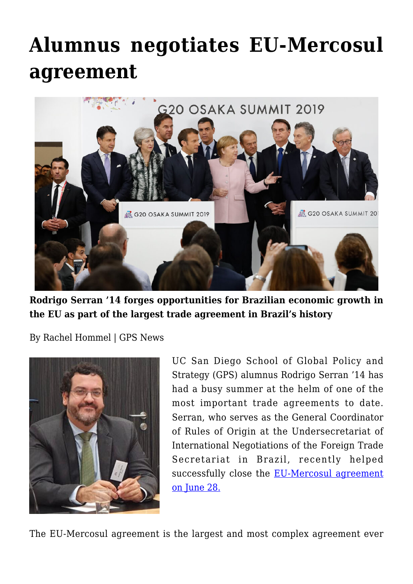## **[Alumnus negotiates EU-Mercosul](https://gpsnews.ucsd.edu/alumnus-negotiates-eu-mercosul-agreement/) [agreement](https://gpsnews.ucsd.edu/alumnus-negotiates-eu-mercosul-agreement/)**



**Rodrigo Serran '14 forges opportunities for Brazilian economic growth in the EU as part of the largest trade agreement in Brazil's history**

By Rachel Hommel | GPS News



UC San Diego School of Global Policy and Strategy (GPS) alumnus Rodrigo Serran '14 has had a busy summer at the helm of one of the most important trade agreements to date. Serran, who serves as the General Coordinator of Rules of Origin at the Undersecretariat of International Negotiations of the Foreign Trade Secretariat in Brazil, recently helped successfully close the [EU-Mercosul agreement](https://ec.europa.eu/trade/policy/in-focus/eu-mercosur-association-agreement/) [on June 28.](https://ec.europa.eu/trade/policy/in-focus/eu-mercosur-association-agreement/)

The EU-Mercosul agreement is the largest and most complex agreement ever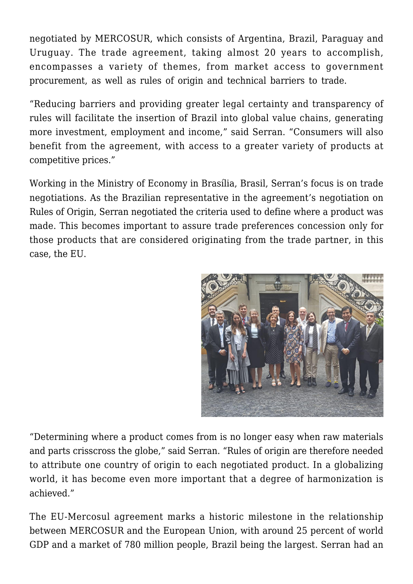negotiated by MERCOSUR, which consists of Argentina, Brazil, Paraguay and Uruguay. The trade agreement, taking almost 20 years to accomplish, encompasses a variety of themes, from market access to government procurement, as well as rules of origin and technical barriers to trade.

"Reducing barriers and providing greater legal certainty and transparency of rules will facilitate the insertion of Brazil into global value chains, generating more investment, employment and income," said Serran. "Consumers will also benefit from the agreement, with access to a greater variety of products at competitive prices."

Working in the Ministry of Economy in Brasília, Brasil, Serran's focus is on trade negotiations. As the Brazilian representative in the agreement's negotiation on Rules of Origin, Serran negotiated the criteria used to define where a product was made. This becomes important to assure trade preferences concession only for those products that are considered originating from the trade partner, in this case, the EU.



"Determining where a product comes from is no longer easy when raw materials and parts crisscross the globe," said Serran. "Rules of origin are therefore needed to attribute one country of origin to each negotiated product. In a globalizing world, it has become even more important that a degree of harmonization is achieved."

The EU-Mercosul agreement marks a historic milestone in the relationship between MERCOSUR and the European Union, with around 25 percent of world GDP and a market of 780 million people, Brazil being the largest. Serran had an